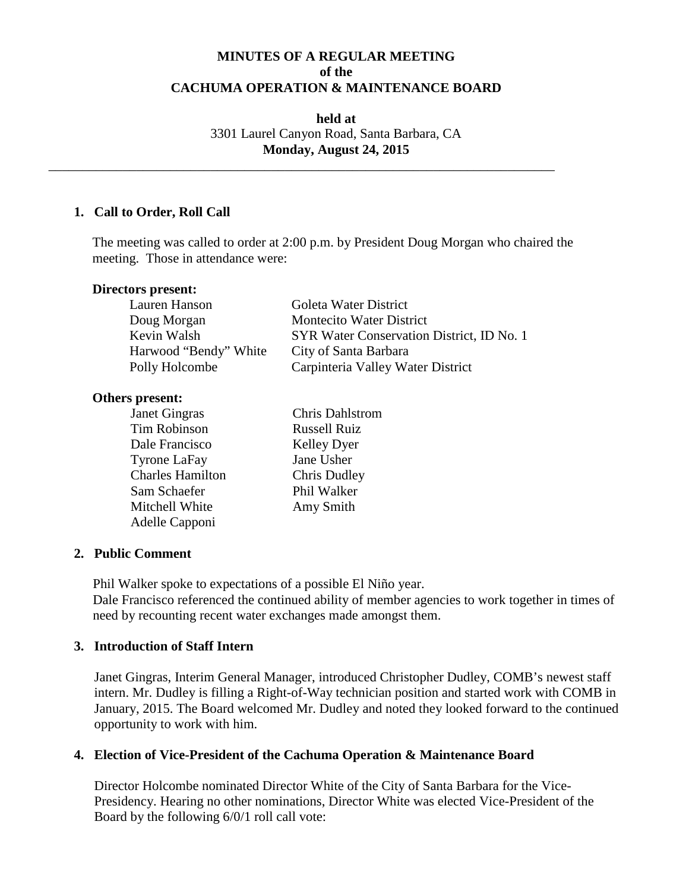# **MINUTES OF A REGULAR MEETING of the CACHUMA OPERATION & MAINTENANCE BOARD**

**held at** 3301 Laurel Canyon Road, Santa Barbara, CA **Monday, August 24, 2015**

\_\_\_\_\_\_\_\_\_\_\_\_\_\_\_\_\_\_\_\_\_\_\_\_\_\_\_\_\_\_\_\_\_\_\_\_\_\_\_\_\_\_\_\_\_\_\_\_\_\_\_\_\_\_\_\_\_\_\_\_\_\_\_\_\_\_\_\_\_\_\_\_\_\_\_

### **1. Call to Order, Roll Call**

The meeting was called to order at 2:00 p.m. by President Doug Morgan who chaired the meeting. Those in attendance were:

| Directors present:    |                                           |
|-----------------------|-------------------------------------------|
| Lauren Hanson         | Goleta Water District                     |
| Doug Morgan           | <b>Montecito Water District</b>           |
| Kevin Walsh           | SYR Water Conservation District, ID No. 1 |
| Harwood "Bendy" White | City of Santa Barbara                     |
| Polly Holcombe        | Carpinteria Valley Water District         |

#### **Others present:**

| Janet Gingras           | <b>Chris Dahlstrom</b> |
|-------------------------|------------------------|
| Tim Robinson            | <b>Russell Ruiz</b>    |
| Dale Francisco          | <b>Kelley Dyer</b>     |
| <b>Tyrone LaFay</b>     | Jane Usher             |
| <b>Charles Hamilton</b> | Chris Dudley           |
| Sam Schaefer            | Phil Walker            |
| Mitchell White          | Amy Smith              |
| Adelle Capponi          |                        |

### **2. Public Comment**

Phil Walker spoke to expectations of a possible El Niño year. Dale Francisco referenced the continued ability of member agencies to work together in times of need by recounting recent water exchanges made amongst them.

### **3. Introduction of Staff Intern**

Janet Gingras, Interim General Manager, introduced Christopher Dudley, COMB's newest staff intern. Mr. Dudley is filling a Right-of-Way technician position and started work with COMB in January, 2015. The Board welcomed Mr. Dudley and noted they looked forward to the continued opportunity to work with him.

## **4. Election of Vice-President of the Cachuma Operation & Maintenance Board**

Director Holcombe nominated Director White of the City of Santa Barbara for the Vice-Presidency. Hearing no other nominations, Director White was elected Vice-President of the Board by the following 6/0/1 roll call vote: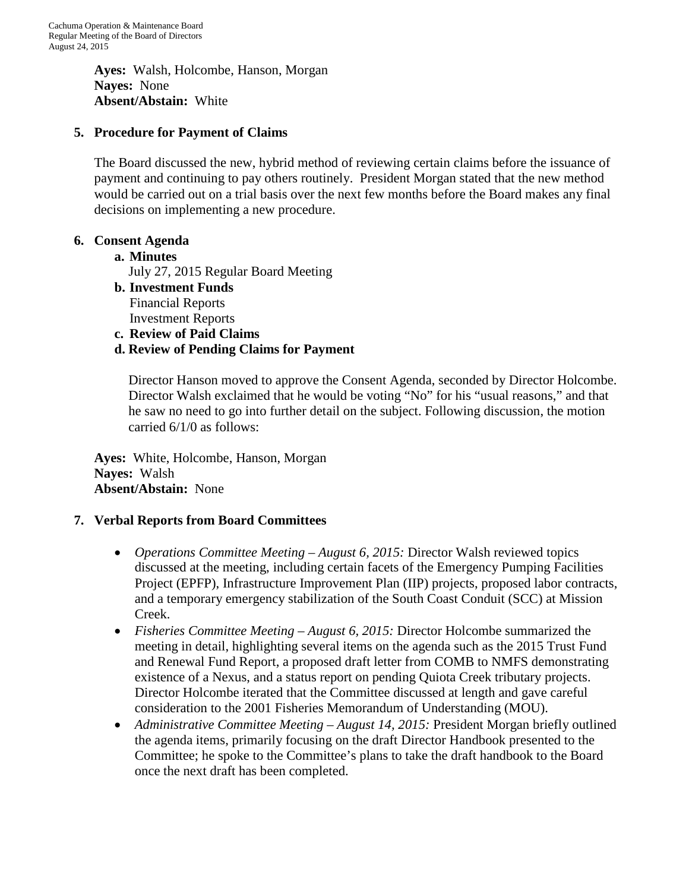**Ayes:** Walsh, Holcombe, Hanson, Morgan **Nayes:** None **Absent/Abstain:** White

# **5. Procedure for Payment of Claims**

The Board discussed the new, hybrid method of reviewing certain claims before the issuance of payment and continuing to pay others routinely. President Morgan stated that the new method would be carried out on a trial basis over the next few months before the Board makes any final decisions on implementing a new procedure.

## **6. Consent Agenda**

### **a. Minutes**

July 27, 2015 Regular Board Meeting

- **b. Investment Funds** Financial Reports Investment Reports
- **c. Review of Paid Claims**

# **d. Review of Pending Claims for Payment**

Director Hanson moved to approve the Consent Agenda, seconded by Director Holcombe. Director Walsh exclaimed that he would be voting "No" for his "usual reasons," and that he saw no need to go into further detail on the subject. Following discussion, the motion carried 6/1/0 as follows:

**Ayes:** White, Holcombe, Hanson, Morgan **Nayes:** Walsh **Absent/Abstain:** None

## **7. Verbal Reports from Board Committees**

- *Operations Committee Meeting – August 6, 2015:* Director Walsh reviewed topics discussed at the meeting, including certain facets of the Emergency Pumping Facilities Project (EPFP), Infrastructure Improvement Plan (IIP) projects, proposed labor contracts, and a temporary emergency stabilization of the South Coast Conduit (SCC) at Mission Creek.
- *Fisheries Committee Meeting – August 6, 2015:* Director Holcombe summarized the meeting in detail, highlighting several items on the agenda such as the 2015 Trust Fund and Renewal Fund Report, a proposed draft letter from COMB to NMFS demonstrating existence of a Nexus, and a status report on pending Quiota Creek tributary projects. Director Holcombe iterated that the Committee discussed at length and gave careful consideration to the 2001 Fisheries Memorandum of Understanding (MOU).
- *Administrative Committee Meeting August 14, 2015:* President Morgan briefly outlined the agenda items, primarily focusing on the draft Director Handbook presented to the Committee; he spoke to the Committee's plans to take the draft handbook to the Board once the next draft has been completed.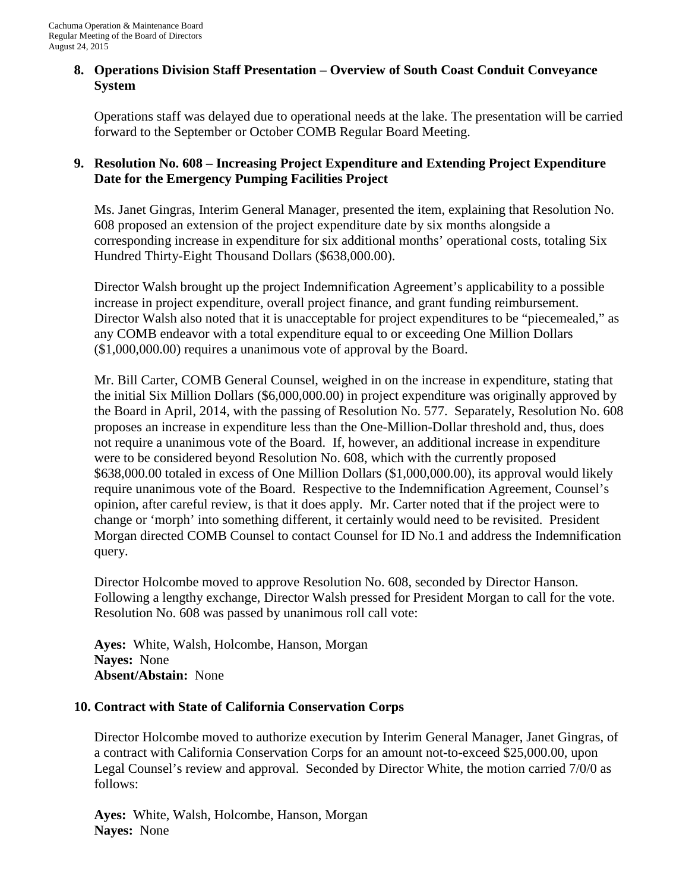### **8. Operations Division Staff Presentation – Overview of South Coast Conduit Conveyance System**

Operations staff was delayed due to operational needs at the lake. The presentation will be carried forward to the September or October COMB Regular Board Meeting.

# **9. Resolution No. 608 – Increasing Project Expenditure and Extending Project Expenditure Date for the Emergency Pumping Facilities Project**

Ms. Janet Gingras, Interim General Manager, presented the item, explaining that Resolution No. 608 proposed an extension of the project expenditure date by six months alongside a corresponding increase in expenditure for six additional months' operational costs, totaling Six Hundred Thirty-Eight Thousand Dollars (\$638,000.00).

Director Walsh brought up the project Indemnification Agreement's applicability to a possible increase in project expenditure, overall project finance, and grant funding reimbursement. Director Walsh also noted that it is unacceptable for project expenditures to be "piecemealed," as any COMB endeavor with a total expenditure equal to or exceeding One Million Dollars (\$1,000,000.00) requires a unanimous vote of approval by the Board.

Mr. Bill Carter, COMB General Counsel, weighed in on the increase in expenditure, stating that the initial Six Million Dollars (\$6,000,000.00) in project expenditure was originally approved by the Board in April, 2014, with the passing of Resolution No. 577. Separately, Resolution No. 608 proposes an increase in expenditure less than the One-Million-Dollar threshold and, thus, does not require a unanimous vote of the Board. If, however, an additional increase in expenditure were to be considered beyond Resolution No. 608, which with the currently proposed \$638,000.00 totaled in excess of One Million Dollars (\$1,000,000.00), its approval would likely require unanimous vote of the Board. Respective to the Indemnification Agreement, Counsel's opinion, after careful review, is that it does apply. Mr. Carter noted that if the project were to change or 'morph' into something different, it certainly would need to be revisited. President Morgan directed COMB Counsel to contact Counsel for ID No.1 and address the Indemnification query.

Director Holcombe moved to approve Resolution No. 608, seconded by Director Hanson. Following a lengthy exchange, Director Walsh pressed for President Morgan to call for the vote. Resolution No. 608 was passed by unanimous roll call vote:

**Ayes:** White, Walsh, Holcombe, Hanson, Morgan **Nayes:** None **Absent/Abstain:** None

## **10. Contract with State of California Conservation Corps**

Director Holcombe moved to authorize execution by Interim General Manager, Janet Gingras, of a contract with California Conservation Corps for an amount not-to-exceed \$25,000.00, upon Legal Counsel's review and approval. Seconded by Director White, the motion carried 7/0/0 as follows:

**Ayes:** White, Walsh, Holcombe, Hanson, Morgan **Nayes:** None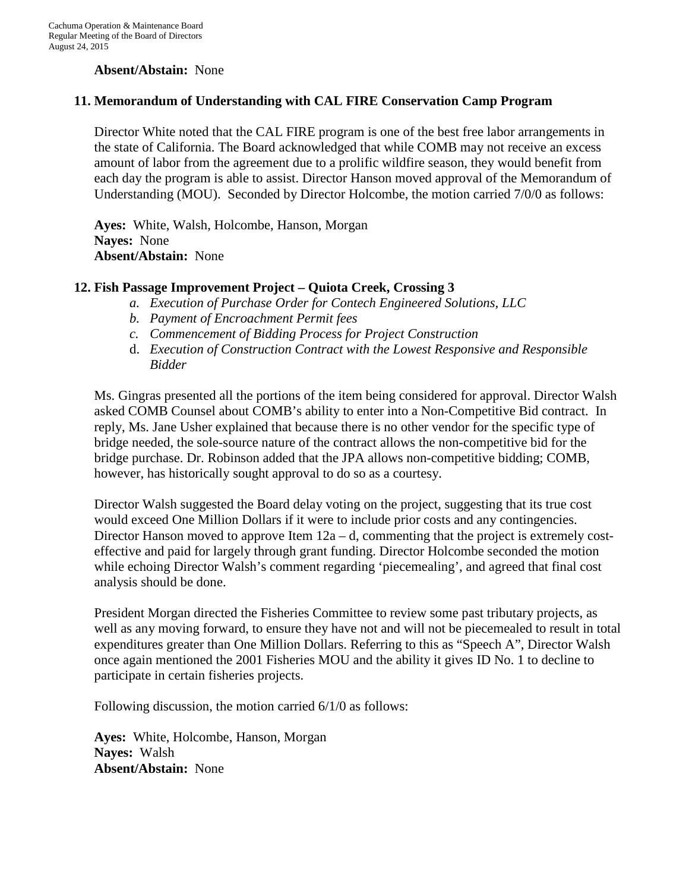### **Absent/Abstain:** None

### **11. Memorandum of Understanding with CAL FIRE Conservation Camp Program**

Director White noted that the CAL FIRE program is one of the best free labor arrangements in the state of California. The Board acknowledged that while COMB may not receive an excess amount of labor from the agreement due to a prolific wildfire season, they would benefit from each day the program is able to assist. Director Hanson moved approval of the Memorandum of Understanding (MOU). Seconded by Director Holcombe, the motion carried 7/0/0 as follows:

**Ayes:** White, Walsh, Holcombe, Hanson, Morgan **Nayes:** None **Absent/Abstain:** None

### **12. Fish Passage Improvement Project – Quiota Creek, Crossing 3**

- *a. Execution of Purchase Order for Contech Engineered Solutions, LLC*
- *b. Payment of Encroachment Permit fees*
- *c. Commencement of Bidding Process for Project Construction*
- d. *Execution of Construction Contract with the Lowest Responsive and Responsible Bidder*

Ms. Gingras presented all the portions of the item being considered for approval. Director Walsh asked COMB Counsel about COMB's ability to enter into a Non-Competitive Bid contract. In reply, Ms. Jane Usher explained that because there is no other vendor for the specific type of bridge needed, the sole-source nature of the contract allows the non-competitive bid for the bridge purchase. Dr. Robinson added that the JPA allows non-competitive bidding; COMB, however, has historically sought approval to do so as a courtesy.

Director Walsh suggested the Board delay voting on the project, suggesting that its true cost would exceed One Million Dollars if it were to include prior costs and any contingencies. Director Hanson moved to approve Item  $12a - d$ , commenting that the project is extremely costeffective and paid for largely through grant funding. Director Holcombe seconded the motion while echoing Director Walsh's comment regarding 'piecemealing', and agreed that final cost analysis should be done.

President Morgan directed the Fisheries Committee to review some past tributary projects, as well as any moving forward, to ensure they have not and will not be piecemealed to result in total expenditures greater than One Million Dollars. Referring to this as "Speech A", Director Walsh once again mentioned the 2001 Fisheries MOU and the ability it gives ID No. 1 to decline to participate in certain fisheries projects.

Following discussion, the motion carried 6/1/0 as follows:

**Ayes:** White, Holcombe, Hanson, Morgan **Nayes:** Walsh **Absent/Abstain:** None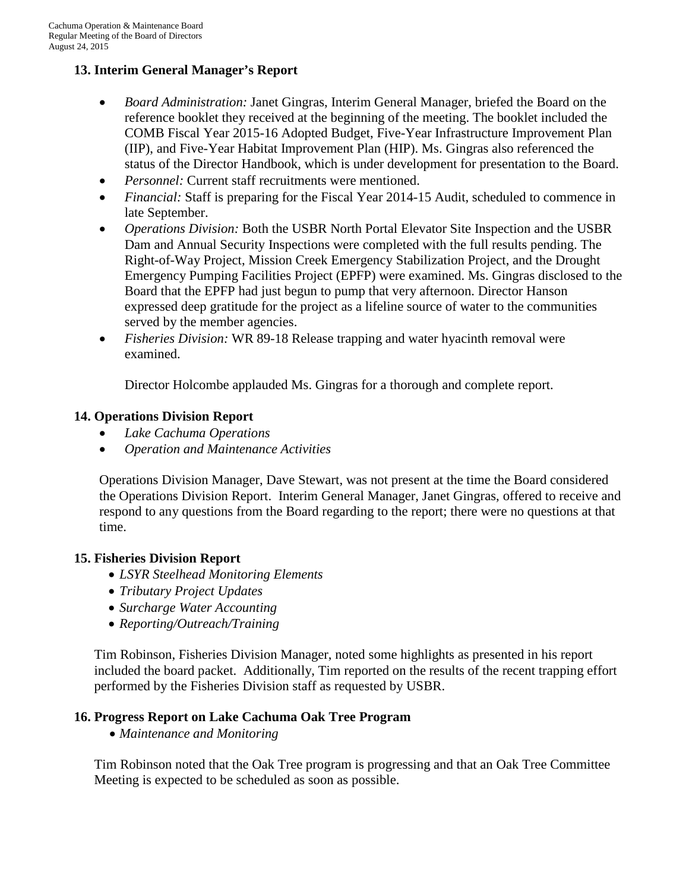# **13. Interim General Manager's Report**

- *Board Administration:* Janet Gingras, Interim General Manager, briefed the Board on the reference booklet they received at the beginning of the meeting. The booklet included the COMB Fiscal Year 2015-16 Adopted Budget, Five-Year Infrastructure Improvement Plan (IIP), and Five-Year Habitat Improvement Plan (HIP). Ms. Gingras also referenced the status of the Director Handbook, which is under development for presentation to the Board.
- *Personnel:* Current staff recruitments were mentioned.
- *Financial:* Staff is preparing for the Fiscal Year 2014-15 Audit, scheduled to commence in late September.
- *Operations Division:* Both the USBR North Portal Elevator Site Inspection and the USBR Dam and Annual Security Inspections were completed with the full results pending. The Right-of-Way Project, Mission Creek Emergency Stabilization Project, and the Drought Emergency Pumping Facilities Project (EPFP) were examined. Ms. Gingras disclosed to the Board that the EPFP had just begun to pump that very afternoon. Director Hanson expressed deep gratitude for the project as a lifeline source of water to the communities served by the member agencies.
- *Fisheries Division:* WR 89-18 Release trapping and water hyacinth removal were examined.

Director Holcombe applauded Ms. Gingras for a thorough and complete report.

## **14. Operations Division Report**

- *Lake Cachuma Operations*
- *Operation and Maintenance Activities*

Operations Division Manager, Dave Stewart, was not present at the time the Board considered the Operations Division Report. Interim General Manager, Janet Gingras, offered to receive and respond to any questions from the Board regarding to the report; there were no questions at that time.

### **15. Fisheries Division Report**

- *LSYR Steelhead Monitoring Elements*
- *Tributary Project Updates*
- *Surcharge Water Accounting*
- *Reporting/Outreach/Training*

Tim Robinson, Fisheries Division Manager, noted some highlights as presented in his report included the board packet. Additionally, Tim reported on the results of the recent trapping effort performed by the Fisheries Division staff as requested by USBR.

### **16. Progress Report on Lake Cachuma Oak Tree Program**

• *Maintenance and Monitoring*

Tim Robinson noted that the Oak Tree program is progressing and that an Oak Tree Committee Meeting is expected to be scheduled as soon as possible.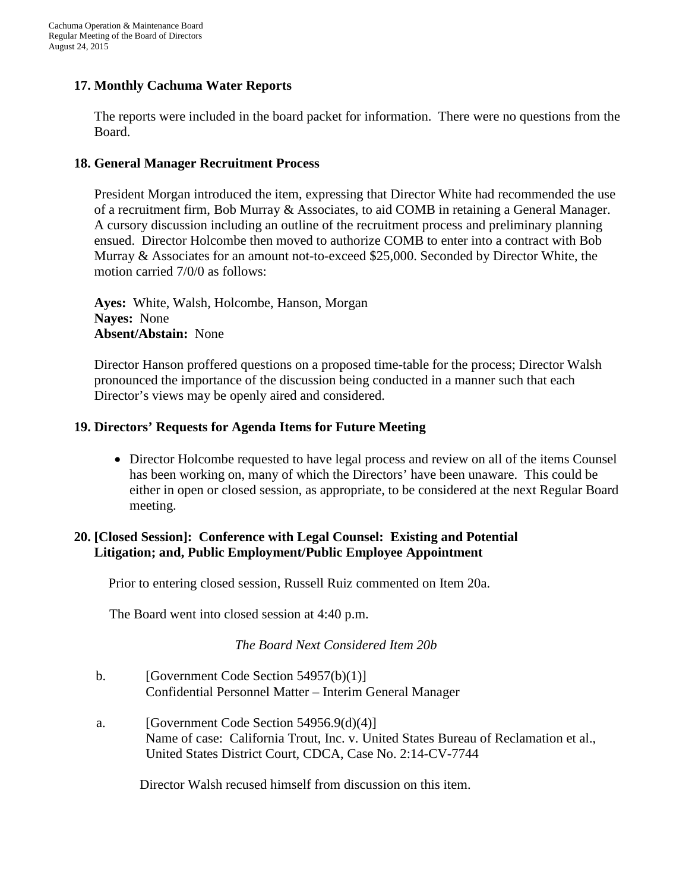# **17. Monthly Cachuma Water Reports**

The reports were included in the board packet for information. There were no questions from the Board.

### **18. General Manager Recruitment Process**

President Morgan introduced the item, expressing that Director White had recommended the use of a recruitment firm, Bob Murray & Associates, to aid COMB in retaining a General Manager. A cursory discussion including an outline of the recruitment process and preliminary planning ensued. Director Holcombe then moved to authorize COMB to enter into a contract with Bob Murray & Associates for an amount not-to-exceed \$25,000. Seconded by Director White, the motion carried 7/0/0 as follows:

**Ayes:** White, Walsh, Holcombe, Hanson, Morgan **Nayes:** None **Absent/Abstain:** None

Director Hanson proffered questions on a proposed time-table for the process; Director Walsh pronounced the importance of the discussion being conducted in a manner such that each Director's views may be openly aired and considered.

### **19. Directors' Requests for Agenda Items for Future Meeting**

• Director Holcombe requested to have legal process and review on all of the items Counsel has been working on, many of which the Directors' have been unaware. This could be either in open or closed session, as appropriate, to be considered at the next Regular Board meeting.

## **20. [Closed Session]: Conference with Legal Counsel: Existing and Potential Litigation; and, Public Employment/Public Employee Appointment**

Prior to entering closed session, Russell Ruiz commented on Item 20a.

The Board went into closed session at 4:40 p.m.

### *The Board Next Considered Item 20b*

- b. [Government Code Section 54957(b)(1)] Confidential Personnel Matter – Interim General Manager
- a. [Government Code Section 54956.9(d)(4)] Name of case: California Trout, Inc. v. United States Bureau of Reclamation et al., United States District Court, CDCA, Case No. 2:14-CV-7744

Director Walsh recused himself from discussion on this item.